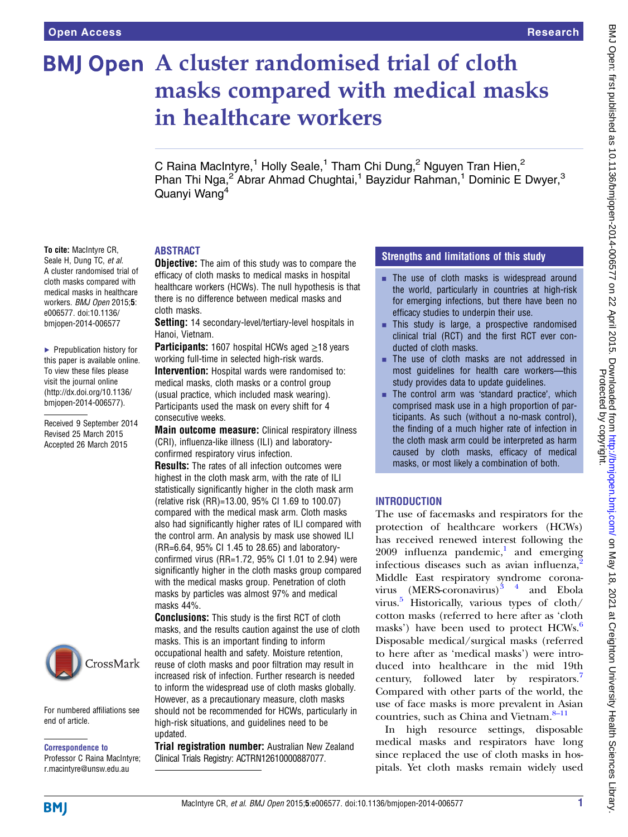To cite: MacIntyre CR, Seale H, Dung TC, et al. A cluster randomised trial of cloth masks compared with medical masks in healthcare workers. BMJ Open 2015;5: e006577. doi:10.1136/ bmjopen-2014-006577

▶ Prepublication history for this paper is available online. To view these files please visit the journal online [\(http://dx.doi.org/10.1136/](http://dx.doi.org/10.1136/bmjopen-2014-006577) [bmjopen-2014-006577](http://dx.doi.org/10.1136/bmjopen-2014-006577)).

Received 9 September 2014 Revised 25 March 2015 Accepted 26 March 2015

# **BMJ Open** A cluster randomised trial of cloth masks compared with medical masks in healthcare workers

C Raina MacIntyre,<sup>1</sup> Holly Seale,<sup>1</sup> Tham Chi Dung,<sup>2</sup> Nguyen Tran Hien,<sup>2</sup> Phan Thi Nga,<sup>2</sup> Abrar Ahmad Chughtai,<sup>1</sup> Bayzidur Rahman,<sup>1</sup> Dominic E Dwyer,<sup>3</sup> Quanyi Wang4

# ABSTRACT

**Objective:** The aim of this study was to compare the efficacy of cloth masks to medical masks in hospital healthcare workers (HCWs). The null hypothesis is that there is no difference between medical masks and cloth masks.

Setting: 14 secondary-level/tertiary-level hospitals in Hanoi, Vietnam.

**Participants:** 1607 hospital HCWs aged  $\geq$ 18 years working full-time in selected high-risk wards.

**Intervention:** Hospital wards were randomised to: medical masks, cloth masks or a control group (usual practice, which included mask wearing). Participants used the mask on every shift for 4 consecutive weeks.

Main outcome measure: Clinical respiratory illness (CRI), influenza-like illness (ILI) and laboratoryconfirmed respiratory virus infection.

**Results:** The rates of all infection outcomes were highest in the cloth mask arm, with the rate of ILI statistically significantly higher in the cloth mask arm (relative risk (RR)=13.00, 95% CI 1.69 to 100.07) compared with the medical mask arm. Cloth masks also had significantly higher rates of ILI compared with the control arm. An analysis by mask use showed ILI (RR=6.64, 95% CI 1.45 to 28.65) and laboratoryconfirmed virus (RR=1.72, 95% CI 1.01 to 2.94) were significantly higher in the cloth masks group compared with the medical masks group. Penetration of cloth masks by particles was almost 97% and medical masks 44%.

**Conclusions:** This study is the first RCT of cloth masks, and the results caution against the use of cloth masks. This is an important finding to inform occupational health and safety. Moisture retention, reuse of cloth masks and poor filtration may result in increased risk of infection. Further research is needed to inform the widespread use of cloth masks globally. However, as a precautionary measure, cloth masks should not be recommended for HCWs, particularly in high-risk situations, and guidelines need to be updated.

**Trial registration number:** Australian New Zealand Clinical Trials Registry: ACTRN12610000887077.

## Strengths and limitations of this study

- $\blacksquare$  The use of cloth masks is widespread around the world, particularly in countries at high-risk for emerging infections, but there have been no efficacy studies to underpin their use.
- **This study is large, a prospective randomised** clinical trial (RCT) and the first RCT ever conducted of cloth masks.
- The use of cloth masks are not addressed in most guidelines for health care workers—this study provides data to update guidelines.
- $\blacksquare$  The control arm was 'standard practice', which comprised mask use in a high proportion of participants. As such (without a no-mask control), the finding of a much higher rate of infection in the cloth mask arm could be interpreted as harm caused by cloth masks, efficacy of medical masks, or most likely a combination of both.

## INTRODUCTION

The use of facemasks and respirators for the protection of healthcare workers (HCWs) has received renewed interest following the  $2009$  influenza pandemic,<sup>1</sup> and emerging infectious diseases such as avian influenza,<sup>[2](#page-8-0)</sup> Middle East respiratory syndrome coronavirus  $(MERS-conavirus)^{3}$ <sup>4</sup> and Ebola virus.<sup>[5](#page-8-0)</sup> Historically, various types of cloth/ cotton masks (referred to here after as 'cloth masks') have been used to protect HCWs.<sup>[6](#page-8-0)</sup> Disposable medical/surgical masks (referred to here after as 'medical masks') were introduced into healthcare in the mid 19th century, followed later by respirators.<sup>[7](#page-8-0)</sup> Compared with other parts of the world, the use of face masks is more prevalent in Asian countries, such as China and Vietnam.<sup>8–[11](#page-8-0)</sup>

In high resource settings, disposable medical masks and respirators have long since replaced the use of cloth masks in hospitals. Yet cloth masks remain widely used

# **BMJ**

end of article.

Correspondence to Professor C Raina MacIntyre; r.macintyre@unsw.edu.au

For numbered affiliations see

CrossMark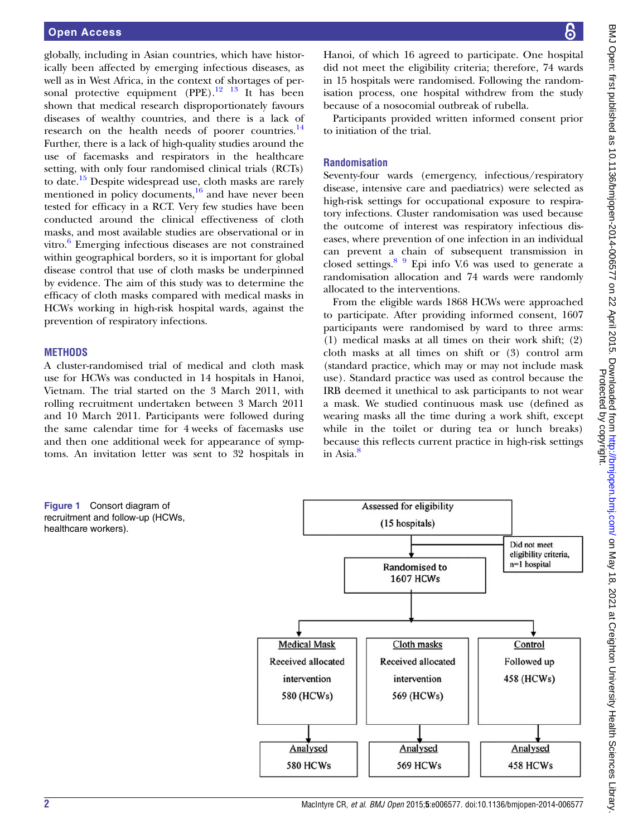<span id="page-1-0"></span>globally, including in Asian countries, which have historically been affected by emerging infectious diseases, as well as in West Africa, in the context of shortages of personal protective equipment  $(PPE).$ <sup>[12 13](#page-8-0)</sup> It has been shown that medical research disproportionately favours diseases of wealthy countries, and there is a lack of research on the health needs of poorer countries.<sup>[14](#page-8-0)</sup> Further, there is a lack of high-quality studies around the use of facemasks and respirators in the healthcare setting, with only four randomised clinical trials (RCTs) to date.<sup>[15](#page-8-0)</sup> Despite widespread use, cloth masks are rarely mentioned in policy documents, $\frac{16}{6}$  $\frac{16}{6}$  $\frac{16}{6}$  and have never been tested for efficacy in a RCT. Very few studies have been conducted around the clinical effectiveness of cloth masks, and most available studies are observational or in vitro. $6$  Emerging infectious diseases are not constrained within geographical borders, so it is important for global disease control that use of cloth masks be underpinned by evidence. The aim of this study was to determine the efficacy of cloth masks compared with medical masks in HCWs working in high-risk hospital wards, against the prevention of respiratory infections.

## **METHODS**

A cluster-randomised trial of medical and cloth mask use for HCWs was conducted in 14 hospitals in Hanoi, Vietnam. The trial started on the 3 March 2011, with rolling recruitment undertaken between 3 March 2011 and 10 March 2011. Participants were followed during the same calendar time for 4 weeks of facemasks use and then one additional week for appearance of symptoms. An invitation letter was sent to 32 hospitals in

Hanoi, of which 16 agreed to participate. One hospital did not meet the eligibility criteria; therefore, 74 wards in 15 hospitals were randomised. Following the randomisation process, one hospital withdrew from the study because of a nosocomial outbreak of rubella.

Participants provided written informed consent prior to initiation of the trial.

## Randomisation

Seventy-four wards (emergency, infectious/respiratory disease, intensive care and paediatrics) were selected as high-risk settings for occupational exposure to respiratory infections. Cluster randomisation was used because the outcome of interest was respiratory infectious diseases, where prevention of one infection in an individual can prevent a chain of subsequent transmission in closed settings. $89$  Epi info V.6 was used to generate a randomisation allocation and 74 wards were randomly allocated to the interventions.

From the eligible wards 1868 HCWs were approached to participate. After providing informed consent, 1607 participants were randomised by ward to three arms: (1) medical masks at all times on their work shift; (2) cloth masks at all times on shift or (3) control arm (standard practice, which may or may not include mask use). Standard practice was used as control because the IRB deemed it unethical to ask participants to not wear a mask. We studied continuous mask use (defined as wearing masks all the time during a work shift, except while in the toilet or during tea or lunch breaks) because this reflects current practice in high-risk settings in Asia.<sup>[8](#page-8-0)</sup>

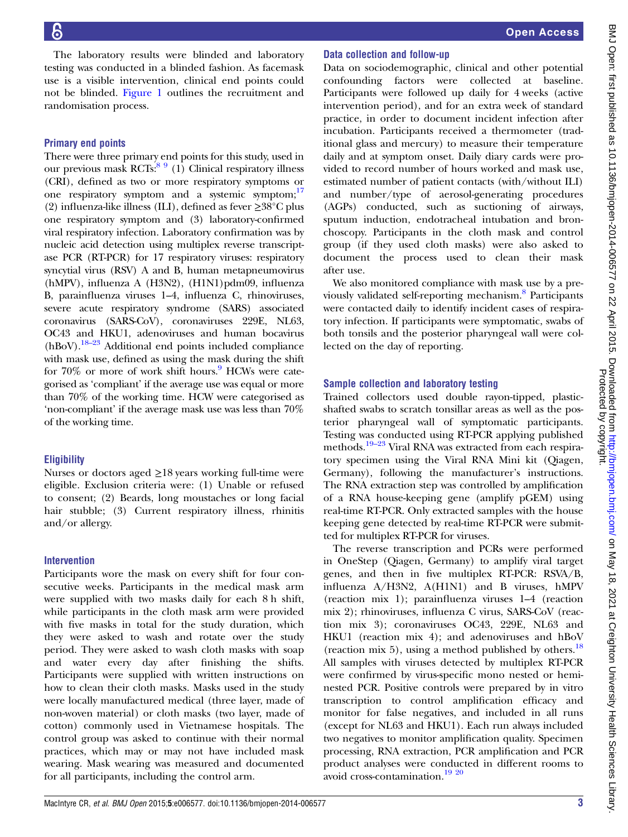The laboratory results were blinded and laboratory testing was conducted in a blinded fashion. As facemask use is a visible intervention, clinical end points could not be blinded. [Figure 1](#page-1-0) outlines the recruitment and randomisation process.

## Primary end points

There were three primary end points for this study, used in our previous mask RCTs: $89$  (1) Clinical respiratory illness (CRI), defined as two or more respiratory symptoms or one respiratory symptom and a systemic symptom;<sup>17</sup> (2) influenza-like illness (ILI), defined as fever ≥38°C plus one respiratory symptom and (3) laboratory-confirmed viral respiratory infection. Laboratory confirmation was by nucleic acid detection using multiplex reverse transcriptase PCR (RT-PCR) for 17 respiratory viruses: respiratory syncytial virus (RSV) A and B, human metapneumovirus (hMPV), influenza A (H3N2), (H1N1)pdm09, influenza B, parainfluenza viruses 1–4, influenza C, rhinoviruses, severe acute respiratory syndrome (SARS) associated coronavirus (SARS-CoV), coronaviruses 229E, NL63, OC43 and HKU1, adenoviruses and human bocavirus  $(hBoV).$ <sup>[18](#page-8-0)–23</sup> Additional end points included compliance with mask use, defined as using the mask during the shift for  $70\%$  or more of work shift hours. HCWs were categorised as 'compliant' if the average use was equal or more than 70% of the working time. HCW were categorised as 'non-compliant' if the average mask use was less than 70% of the working time.

# **Eligibility**

Nurses or doctors aged  $\geq$ 18 years working full-time were eligible. Exclusion criteria were: (1) Unable or refused to consent; (2) Beards, long moustaches or long facial hair stubble; (3) Current respiratory illness, rhinitis and/or allergy.

# Intervention

Participants wore the mask on every shift for four consecutive weeks. Participants in the medical mask arm were supplied with two masks daily for each 8 h shift, while participants in the cloth mask arm were provided with five masks in total for the study duration, which they were asked to wash and rotate over the study period. They were asked to wash cloth masks with soap and water every day after finishing the shifts. Participants were supplied with written instructions on how to clean their cloth masks. Masks used in the study were locally manufactured medical (three layer, made of non-woven material) or cloth masks (two layer, made of cotton) commonly used in Vietnamese hospitals. The control group was asked to continue with their normal practices, which may or may not have included mask wearing. Mask wearing was measured and documented for all participants, including the control arm.

# Data collection and follow-up

Data on sociodemographic, clinical and other potential confounding factors were collected at baseline. Participants were followed up daily for 4 weeks (active intervention period), and for an extra week of standard practice, in order to document incident infection after incubation. Participants received a thermometer (traditional glass and mercury) to measure their temperature daily and at symptom onset. Daily diary cards were provided to record number of hours worked and mask use, estimated number of patient contacts (with/without ILI) and number/type of aerosol-generating procedures (AGPs) conducted, such as suctioning of airways, sputum induction, endotracheal intubation and bronchoscopy. Participants in the cloth mask and control group (if they used cloth masks) were also asked to document the process used to clean their mask after use.

We also monitored compliance with mask use by a previously validated self-reporting mechanism.<sup>8</sup> Participants were contacted daily to identify incident cases of respiratory infection. If participants were symptomatic, swabs of both tonsils and the posterior pharyngeal wall were collected on the day of reporting.

# Sample collection and laboratory testing

Trained collectors used double rayon-tipped, plasticshafted swabs to scratch tonsillar areas as well as the posterior pharyngeal wall of symptomatic participants. Testing was conducted using RT-PCR applying published methods.<sup>19–[23](#page-8-0)</sup> Viral RNA was extracted from each respiratory specimen using the Viral RNA Mini kit (Qiagen, Germany), following the manufacturer's instructions. The RNA extraction step was controlled by amplification of a RNA house-keeping gene (amplify pGEM) using real-time RT-PCR. Only extracted samples with the house keeping gene detected by real-time RT-PCR were submitted for multiplex RT-PCR for viruses.

The reverse transcription and PCRs were performed in OneStep (Qiagen, Germany) to amplify viral target genes, and then in five multiplex RT-PCR: RSVA/B, influenza A/H3N2, A(H1N1) and B viruses, hMPV (reaction mix 1); parainfluenza viruses 1–4 (reaction mix 2); rhinoviruses, influenza C virus, SARS-CoV (reaction mix 3); coronaviruses OC43, 229E, NL63 and HKU1 (reaction mix 4); and adenoviruses and hBoV (reaction mix 5), using a method published by others.<sup>[18](#page-8-0)</sup> All samples with viruses detected by multiplex RT-PCR were confirmed by virus-specific mono nested or heminested PCR. Positive controls were prepared by in vitro transcription to control amplification efficacy and monitor for false negatives, and included in all runs (except for NL63 and HKU1). Each run always included two negatives to monitor amplification quality. Specimen processing, RNA extraction, PCR amplification and PCR product analyses were conducted in different rooms to avoid cross-contamination.[19 20](#page-8-0)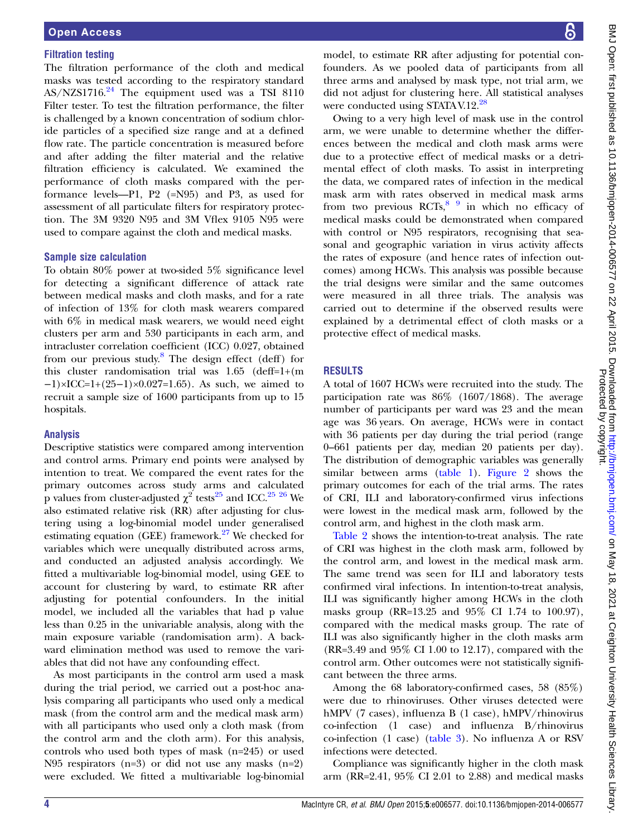## Filtration testing

The filtration performance of the cloth and medical masks was tested according to the respiratory standard  $AS/NZS1716.<sup>24</sup>$  $AS/NZS1716.<sup>24</sup>$  $AS/NZS1716.<sup>24</sup>$  The equipment used was a TSI 8110 Filter tester. To test the filtration performance, the filter is challenged by a known concentration of sodium chloride particles of a specified size range and at a defined flow rate. The particle concentration is measured before and after adding the filter material and the relative filtration efficiency is calculated. We examined the performance of cloth masks compared with the performance levels—P1, P2 (=N95) and P3, as used for assessment of all particulate filters for respiratory protection. The 3M 9320 N95 and 3M Vflex 9105 N95 were used to compare against the cloth and medical masks.

### Sample size calculation

To obtain 80% power at two-sided 5% significance level for detecting a significant difference of attack rate between medical masks and cloth masks, and for a rate of infection of 13% for cloth mask wearers compared with 6% in medical mask wearers, we would need eight clusters per arm and 530 participants in each arm, and intracluster correlation coefficient (ICC) 0.027, obtained from our previous study.<sup>[8](#page-8-0)</sup> The design effect (deff) for this cluster randomisation trial was 1.65 (deff=1+(m  $-1$ )×ICC=1+(25–1)×0.027=1.65). As such, we aimed to recruit a sample size of 1600 participants from up to 15 hospitals.

## Analysis

Descriptive statistics were compared among intervention and control arms. Primary end points were analysed by intention to treat. We compared the event rates for the primary outcomes across study arms and calculated p values from cluster-adjusted  $\chi^2$  tests<sup>[25](#page-8-0)</sup> and ICC.<sup>25</sup> <sup>26</sup> We also estimated relative risk (RR) after adjusting for clustering using a log-binomial model under generalised estimating equation (GEE) framework.<sup>[27](#page-8-0)</sup> We checked for variables which were unequally distributed across arms, and conducted an adjusted analysis accordingly. We fitted a multivariable log-binomial model, using GEE to account for clustering by ward, to estimate RR after adjusting for potential confounders. In the initial model, we included all the variables that had p value less than 0.25 in the univariable analysis, along with the main exposure variable (randomisation arm). A backward elimination method was used to remove the variables that did not have any confounding effect.

As most participants in the control arm used a mask during the trial period, we carried out a post-hoc analysis comparing all participants who used only a medical mask (from the control arm and the medical mask arm) with all participants who used only a cloth mask (from the control arm and the cloth arm). For this analysis, controls who used both types of mask (n=245) or used N95 respirators (n=3) or did not use any masks (n=2) were excluded. We fitted a multivariable log-binomial

model, to estimate RR after adjusting for potential confounders. As we pooled data of participants from all three arms and analysed by mask type, not trial arm, we did not adjust for clustering here. All statistical analyses were conducted using STATA V.12.<sup>[28](#page-8-0)</sup>

Owing to a very high level of mask use in the control arm, we were unable to determine whether the differences between the medical and cloth mask arms were due to a protective effect of medical masks or a detrimental effect of cloth masks. To assist in interpreting the data, we compared rates of infection in the medical mask arm with rates observed in medical mask arms from two previous  $RCTs$ ,  $89$  in which no efficacy of medical masks could be demonstrated when compared with control or N95 respirators, recognising that seasonal and geographic variation in virus activity affects the rates of exposure (and hence rates of infection outcomes) among HCWs. This analysis was possible because the trial designs were similar and the same outcomes were measured in all three trials. The analysis was carried out to determine if the observed results were explained by a detrimental effect of cloth masks or a protective effect of medical masks.

## RESULTS

A total of 1607 HCWs were recruited into the study. The participation rate was 86% (1607/1868). The average number of participants per ward was 23 and the mean age was 36 years. On average, HCWs were in contact with 36 patients per day during the trial period (range 0–661 patients per day, median 20 patients per day). The distribution of demographic variables was generally similar between arms [\(table 1](#page-4-0)). [Figure 2](#page-4-0) shows the primary outcomes for each of the trial arms. The rates of CRI, ILI and laboratory-confirmed virus infections were lowest in the medical mask arm, followed by the control arm, and highest in the cloth mask arm.

[Table 2](#page-5-0) shows the intention-to-treat analysis. The rate of CRI was highest in the cloth mask arm, followed by the control arm, and lowest in the medical mask arm. The same trend was seen for ILI and laboratory tests confirmed viral infections. In intention-to-treat analysis, ILI was significantly higher among HCWs in the cloth masks group (RR=13.25 and 95% CI 1.74 to 100.97), compared with the medical masks group. The rate of ILI was also significantly higher in the cloth masks arm (RR=3.49 and 95% CI 1.00 to 12.17), compared with the control arm. Other outcomes were not statistically significant between the three arms.

Among the 68 laboratory-confirmed cases, 58 (85%) were due to rhinoviruses. Other viruses detected were hMPV (7 cases), influenza B (1 case), hMPV/rhinovirus co-infection (1 case) and influenza B/rhinovirus co-infection (1 case) [\(table 3\)](#page-5-0). No influenza A or RSV infections were detected.

Compliance was significantly higher in the cloth mask arm (RR=2.41, 95% CI 2.01 to 2.88) and medical masks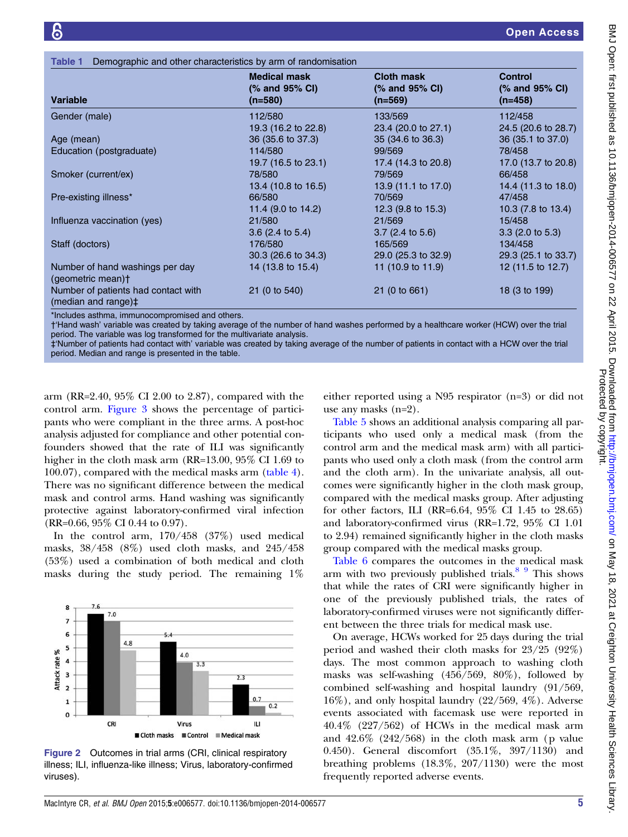<span id="page-4-0"></span>

| Demographic and other characteristics by arm of randomisation<br>Table 1 |                                                  |                                                  |                                               |
|--------------------------------------------------------------------------|--------------------------------------------------|--------------------------------------------------|-----------------------------------------------|
| <b>Variable</b>                                                          | <b>Medical mask</b><br>(% and 95% CI)<br>(n=580) | <b>Cloth mask</b><br>(% and 95% CI)<br>$(n=569)$ | <b>Control</b><br>(% and 95% CI)<br>$(n=458)$ |
| Gender (male)                                                            | 112/580                                          | 133/569                                          | 112/458                                       |
|                                                                          | 19.3 (16.2 to 22.8)                              | 23.4 (20.0 to 27.1)                              | 24.5 (20.6 to 28.7)                           |
| Age (mean)                                                               | 36 (35.6 to 37.3)                                | 35 (34.6 to 36.3)                                | 36 (35.1 to 37.0)                             |
| Education (postgraduate)                                                 | 114/580                                          | 99/569                                           | 78/458                                        |
|                                                                          | 19.7 (16.5 to 23.1)                              | 17.4 (14.3 to 20.8)                              | 17.0 (13.7 to 20.8)                           |
| Smoker (current/ex)                                                      | 78/580                                           | 79/569                                           | 66/458                                        |
|                                                                          | 13.4 (10.8 to 16.5)                              | 13.9 (11.1 to 17.0)                              | 14.4 (11.3 to 18.0)                           |
| Pre-existing illness*                                                    | 66/580                                           | 70/569                                           | 47/458                                        |
|                                                                          | 11.4 (9.0 to 14.2)                               | 12.3 $(9.8 \text{ to } 15.3)$                    | $10.3(7.8 \text{ to } 13.4)$                  |
| Influenza vaccination (yes)                                              | 21/580                                           | 21/569                                           | 15/458                                        |
|                                                                          | $3.6$ (2.4 to 5.4)                               | $3.7(2.4 \text{ to } 5.6)$                       | $3.3$ (2.0 to 5.3)                            |
| Staff (doctors)                                                          | 176/580                                          | 165/569                                          | 134/458                                       |
|                                                                          | 30.3 (26.6 to 34.3)                              | 29.0 (25.3 to 32.9)                              | 29.3 (25.1 to 33.7)                           |
| Number of hand washings per day<br>(geometric mean)+                     | 14 (13.8 to 15.4)                                | 11 (10.9 to 11.9)                                | 12 (11.5 to 12.7)                             |
| Number of patients had contact with<br>(median and range)#               | 21 (0 to 540)                                    | 21 (0 to 661)                                    | 18 (3 to 199)                                 |

\*Includes asthma, immunocompromised and others.

†'Hand wash' variable was created by taking average of the number of hand washes performed by a healthcare worker (HCW) over the trial period. The variable was log transformed for the multivariate analysis.

‡'Number of patients had contact with' variable was created by taking average of the number of patients in contact with a HCW over the trial period. Median and range is presented in the table.

arm (RR=2.40, 95% CI 2.00 to 2.87), compared with the control arm. [Figure 3](#page-6-0) shows the percentage of participants who were compliant in the three arms. A post-hoc analysis adjusted for compliance and other potential confounders showed that the rate of ILI was significantly higher in the cloth mask arm (RR=13.00, 95\% CI 1.69 to 100.07), compared with the medical masks arm ([table 4\)](#page-6-0). There was no significant difference between the medical mask and control arms. Hand washing was significantly protective against laboratory-confirmed viral infection (RR=0.66, 95% CI 0.44 to 0.97).

In the control arm, 170/458 (37%) used medical masks, 38/458 (8%) used cloth masks, and 245/458 (53%) used a combination of both medical and cloth masks during the study period. The remaining 1%



Figure 2 Outcomes in trial arms (CRI, clinical respiratory illness; ILI, influenza-like illness; Virus, laboratory-confirmed viruses).

either reported using a N95 respirator (n=3) or did not use any masks (n=2).

[Table 5](#page-7-0) shows an additional analysis comparing all participants who used only a medical mask (from the control arm and the medical mask arm) with all participants who used only a cloth mask ( from the control arm and the cloth arm). In the univariate analysis, all outcomes were significantly higher in the cloth mask group, compared with the medical masks group. After adjusting for other factors, ILI (RR=6.64, 95% CI 1.45 to 28.65) and laboratory-confirmed virus (RR=1.72, 95% CI 1.01 to 2.94) remained significantly higher in the cloth masks group compared with the medical masks group.

[Table 6](#page-7-0) compares the outcomes in the medical mask arm with two previously published trials. $89$  This shows that while the rates of CRI were significantly higher in one of the previously published trials, the rates of laboratory-confirmed viruses were not significantly different between the three trials for medical mask use.

On average, HCWs worked for 25 days during the trial period and washed their cloth masks for 23/25 (92%) days. The most common approach to washing cloth masks was self-washing (456/569, 80%), followed by combined self-washing and hospital laundry (91/569, 16%), and only hospital laundry (22/569, 4%). Adverse events associated with facemask use were reported in 40.4% (227/562) of HCWs in the medical mask arm and 42.6% (242/568) in the cloth mask arm (p value 0.450). General discomfort (35.1%, 397/1130) and breathing problems (18.3%, 207/1130) were the most frequently reported adverse events.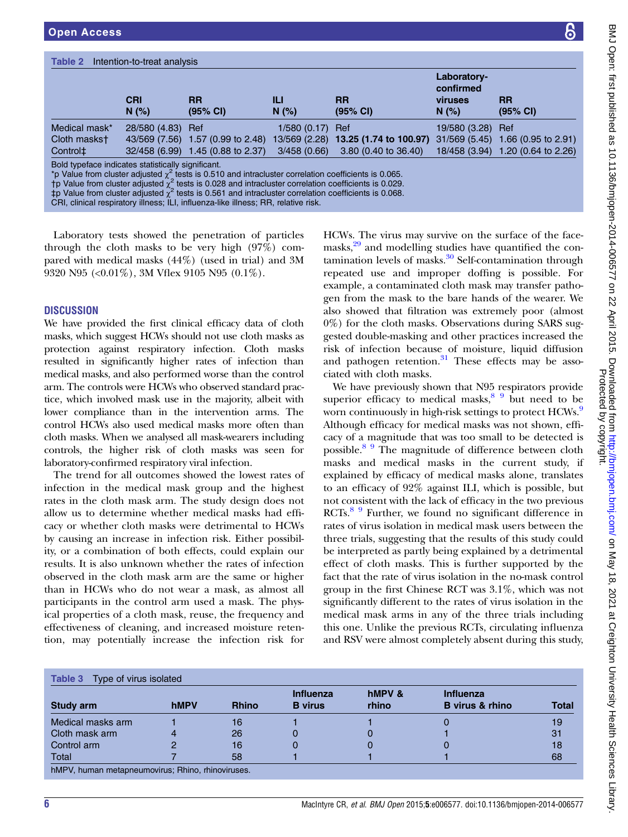<span id="page-5-0"></span>

| Table 2<br>Intention-to-treat analysis                                                                                                                                                                                                                                                                                                                                                       |                     |                          |                  |                                             |                                              |                                   |
|----------------------------------------------------------------------------------------------------------------------------------------------------------------------------------------------------------------------------------------------------------------------------------------------------------------------------------------------------------------------------------------------|---------------------|--------------------------|------------------|---------------------------------------------|----------------------------------------------|-----------------------------------|
|                                                                                                                                                                                                                                                                                                                                                                                              | <b>CRI</b><br>N(% ) | RR<br>$(95% \text{ Cl})$ | Ш<br>N(% )       | <b>RR</b><br>(95% CI)                       | Laboratory-<br>confirmed<br>viruses<br>N(% ) | <b>RR</b><br>$(95% \text{ Cl})$   |
| Medical mask*                                                                                                                                                                                                                                                                                                                                                                                | 28/580 (4.83)       | Ref                      | 1/580 (0.17) Ref |                                             | 19/580 (3.28) Ref                            |                                   |
| Cloth maskst                                                                                                                                                                                                                                                                                                                                                                                 | 43/569 (7.56)       | 1.57 (0.99 to 2.48)      |                  | 13/569 (2.28) <b>13.25 (1.74 to 100.97)</b> |                                              | 31/569 (5.45) 1.66 (0.95 to 2.91) |
| Control <sup>±</sup>                                                                                                                                                                                                                                                                                                                                                                         | 32/458 (6.99)       | 1.45 (0.88 to 2.37)      | 3/458(0.66)      | 3.80 (0.40 to 36.40)                        |                                              | 18/458 (3.94) 1.20 (0.64 to 2.26) |
| Bold typeface indicates statistically significant.<br>*p Value from cluster adjusted $\chi^2$ tests is 0.510 and intracluster correlation coefficients is 0.065.<br>†p Value from cluster adjusted $\chi^2$ tests is 0.028 and intracluster correlation coefficients is 0.029.<br>‡p Value from cluster adjusted $\chi^2$ tests is 0.561 and intracluster correlation coefficients is 0.068. |                     |                          |                  |                                             |                                              |                                   |

CRI, clinical respiratory illness; ILI, influenza-like illness; RR, relative risk.

Laboratory tests showed the penetration of particles through the cloth masks to be very high (97%) compared with medical masks (44%) (used in trial) and 3M 9320 N95 (<0.01%), 3M Vflex 9105 N95 (0.1%).

## **DISCUSSION**

We have provided the first clinical efficacy data of cloth masks, which suggest HCWs should not use cloth masks as protection against respiratory infection. Cloth masks resulted in significantly higher rates of infection than medical masks, and also performed worse than the control arm. The controls were HCWs who observed standard practice, which involved mask use in the majority, albeit with lower compliance than in the intervention arms. The control HCWs also used medical masks more often than cloth masks. When we analysed all mask-wearers including controls, the higher risk of cloth masks was seen for laboratory-confirmed respiratory viral infection.

The trend for all outcomes showed the lowest rates of infection in the medical mask group and the highest rates in the cloth mask arm. The study design does not allow us to determine whether medical masks had efficacy or whether cloth masks were detrimental to HCWs by causing an increase in infection risk. Either possibility, or a combination of both effects, could explain our results. It is also unknown whether the rates of infection observed in the cloth mask arm are the same or higher than in HCWs who do not wear a mask, as almost all participants in the control arm used a mask. The physical properties of a cloth mask, reuse, the frequency and effectiveness of cleaning, and increased moisture retention, may potentially increase the infection risk for

HCWs. The virus may survive on the surface of the face-masks,<sup>[29](#page-8-0)</sup> and modelling studies have quantified the contamination levels of masks. $30$  Self-contamination through repeated use and improper doffing is possible. For example, a contaminated cloth mask may transfer pathogen from the mask to the bare hands of the wearer. We also showed that filtration was extremely poor (almost 0%) for the cloth masks. Observations during SARS suggested double-masking and other practices increased the risk of infection because of moisture, liquid diffusion and pathogen retention. $31$  These effects may be associated with cloth masks.

We have previously shown that N95 respirators provide superior efficacy to medical masks, $8\frac{9}{9}$  but need to be worn continuously in high-risk settings to protect HCWs.<sup>[9](#page-8-0)</sup> Although efficacy for medical masks was not shown, efficacy of a magnitude that was too small to be detected is possible.[8 9](#page-8-0) The magnitude of difference between cloth masks and medical masks in the current study, if explained by efficacy of medical masks alone, translates to an efficacy of 92% against ILI, which is possible, but not consistent with the lack of efficacy in the two previous RCTs.<sup>[8 9](#page-8-0)</sup> Further, we found no significant difference in rates of virus isolation in medical mask users between the three trials, suggesting that the results of this study could be interpreted as partly being explained by a detrimental effect of cloth masks. This is further supported by the fact that the rate of virus isolation in the no-mask control group in the first Chinese RCT was 3.1%, which was not significantly different to the rates of virus isolation in the medical mask arms in any of the three trials including this one. Unlike the previous RCTs, circulating influenza and RSV were almost completely absent during this study,

|                   |             |              | <b>Influenza</b> | hMPV & | <b>Influenza</b>       |              |
|-------------------|-------------|--------------|------------------|--------|------------------------|--------------|
| Study arm         | <b>hMPV</b> | <b>Rhino</b> | <b>B</b> virus   | rhino  | <b>B</b> virus & rhino | <b>Total</b> |
| Medical masks arm |             | 16           |                  |        |                        | 19           |
| Cloth mask arm    |             | 26           |                  |        |                        | 31           |
| Control arm       |             | 16           |                  |        |                        | 18           |
| Total             |             | 58           |                  |        |                        | 68           |

BMJ Open: first published as 10.1136/bmjopen-2014-006577 on 22 April 2015. Downloaded from http://bmjopen.bmj.com/ on May 18, 2021 at Creighton University Health Sciences Library<br>Protective Published as 10.1136/bmjopen-201 BMJ Open: first published as 10.1136/bmjopen-2014-006577 on 22 April 2015. Downloaded from health Sciences Library. Health Sciences Library. Health Sciences Library. Downloaded from 22 April 2015. Downloaded from minishem. Protected by copyright.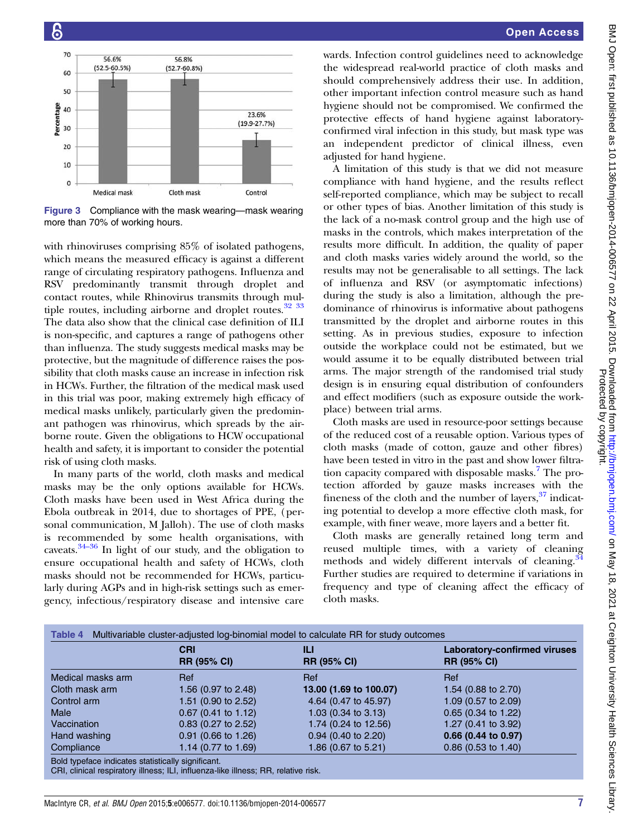<span id="page-6-0"></span>

Figure 3 Compliance with the mask wearing—mask wearing more than 70% of working hours.

with rhinoviruses comprising 85% of isolated pathogens, which means the measured efficacy is against a different range of circulating respiratory pathogens. Influenza and RSV predominantly transmit through droplet and contact routes, while Rhinovirus transmits through multiple routes, including airborne and droplet routes.<sup>32</sup> <sup>33</sup> The data also show that the clinical case definition of ILI is non-specific, and captures a range of pathogens other than influenza. The study suggests medical masks may be protective, but the magnitude of difference raises the possibility that cloth masks cause an increase in infection risk in HCWs. Further, the filtration of the medical mask used in this trial was poor, making extremely high efficacy of medical masks unlikely, particularly given the predominant pathogen was rhinovirus, which spreads by the airborne route. Given the obligations to HCW occupational health and safety, it is important to consider the potential risk of using cloth masks.

In many parts of the world, cloth masks and medical masks may be the only options available for HCWs. Cloth masks have been used in West Africa during the Ebola outbreak in 2014, due to shortages of PPE, (personal communication, M Jalloh). The use of cloth masks is reco[mme](#page-8-0)nded by some health organisations, with caveats.34–<sup>36</sup> In light of our study, and the obligation to ensure occupational health and safety of HCWs, cloth masks should not be recommended for HCWs, particularly during AGPs and in high-risk settings such as emergency, infectious/respiratory disease and intensive care

wards. Infection control guidelines need to acknowledge the widespread real-world practice of cloth masks and should comprehensively address their use. In addition, other important infection control measure such as hand hygiene should not be compromised. We confirmed the protective effects of hand hygiene against laboratoryconfirmed viral infection in this study, but mask type was an independent predictor of clinical illness, even adjusted for hand hygiene.

A limitation of this study is that we did not measure compliance with hand hygiene, and the results reflect self-reported compliance, which may be subject to recall or other types of bias. Another limitation of this study is the lack of a no-mask control group and the high use of masks in the controls, which makes interpretation of the results more difficult. In addition, the quality of paper and cloth masks varies widely around the world, so the results may not be generalisable to all settings. The lack of influenza and RSV (or asymptomatic infections) during the study is also a limitation, although the predominance of rhinovirus is informative about pathogens transmitted by the droplet and airborne routes in this setting. As in previous studies, exposure to infection outside the workplace could not be estimated, but we would assume it to be equally distributed between trial arms. The major strength of the randomised trial study design is in ensuring equal distribution of confounders and effect modifiers (such as exposure outside the workplace) between trial arms.

Cloth masks are used in resource-poor settings because of the reduced cost of a reusable option. Various types of cloth masks (made of cotton, gauze and other fibres) have been tested in vitro in the past and show lower filtra-tion capacity compared with disposable masks.<sup>[7](#page-8-0)</sup> The protection afforded by gauze masks increases with the fineness of the cloth and the number of layers,  $37$  indicating potential to develop a more effective cloth mask, for example, with finer weave, more layers and a better fit.

Cloth masks are generally retained long term and reused multiple times, with a variety of cleaning methods and widely different intervals of cleaning.<sup>[34](#page-8-0)</sup> Further studies are required to determine if variations in frequency and type of cleaning affect the efficacy of cloth masks.

|                   | <b>CRI</b><br><b>RR (95% CI)</b> | Ш<br><b>RR (95% CI)</b>        | <b>Laboratory-confirmed viruses</b><br><b>RR (95% CI)</b> |
|-------------------|----------------------------------|--------------------------------|-----------------------------------------------------------|
| Medical masks arm | Ref                              | Ref                            | Ref                                                       |
| Cloth mask arm    | 1.56 (0.97 to 2.48)              | 13.00 (1.69 to 100.07)         | 1.54 (0.88 to 2.70)                                       |
| Control arm       | 1.51 (0.90 to 2.52)              | 4.64 (0.47 to 45.97)           | 1.09 (0.57 to 2.09)                                       |
| Male              | $0.67$ (0.41 to 1.12)            | 1.03 $(0.34 \text{ to } 3.13)$ | $0.65$ (0.34 to 1.22)                                     |
| Vaccination       | $0.83$ (0.27 to 2.52)            | 1.74 (0.24 to 12.56)           | 1.27 (0.41 to 3.92)                                       |
| Hand washing      | $0.91$ (0.66 to 1.26)            | $0.94$ (0.40 to 2.20)          | 0.66 (0.44 to 0.97)                                       |
| Compliance        | 1.14 (0.77 to 1.69)              | 1.86 (0.67 to 5.21)            | $0.86$ (0.53 to 1.40)                                     |

CRI, clinical respiratory illness; ILI, influenza-like illness; RR, relative risk.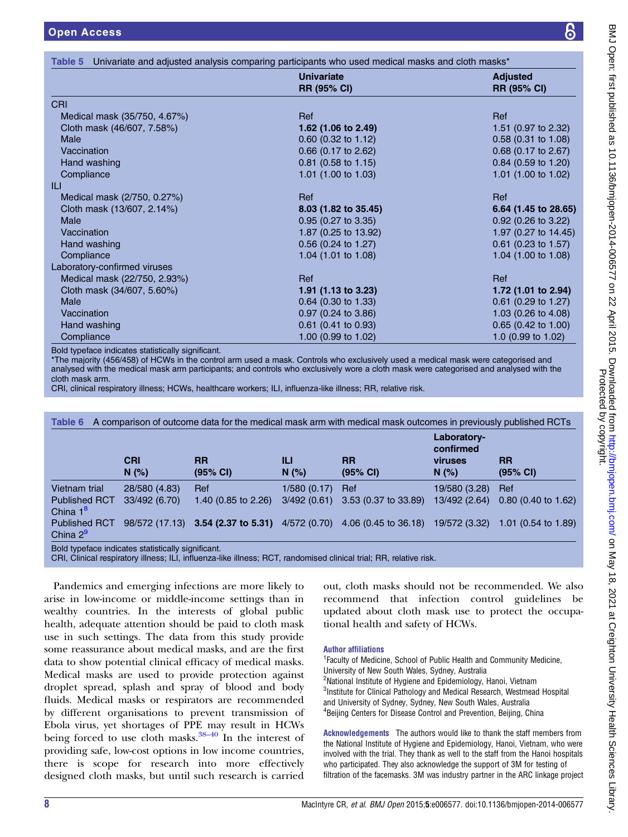<span id="page-7-0"></span>

|                              | <b>Univariate</b><br><b>RR (95% CI)</b> | <b>Adjusted</b><br><b>RR (95% CI)</b> |
|------------------------------|-----------------------------------------|---------------------------------------|
| <b>CRI</b>                   |                                         |                                       |
| Medical mask (35/750, 4.67%) | Ref                                     | Ref                                   |
| Cloth mask (46/607, 7.58%)   | 1.62 (1.06 to 2.49)                     | 1.51 $(0.97 \text{ to } 2.32)$        |
| Male                         | $0.60$ (0.32 to 1.12)                   | $0.58$ (0.31 to 1.08)                 |
| Vaccination                  | $0.66$ (0.17 to 2.62)                   | $0.68$ (0.17 to 2.67)                 |
| Hand washing                 | 0.81 (0.58 to 1.15)                     | 0.84 (0.59 to 1.20)                   |
| Compliance                   | 1.01 (1.00 to 1.03)                     | 1.01 (1.00 to 1.02)                   |
|                              |                                         |                                       |
| Medical mask (2/750, 0.27%)  | Ref                                     | Ref                                   |
| Cloth mask (13/607, 2.14%)   | 8.03 (1.82 to 35.45)                    | 6.64 (1.45 to 28.65)                  |
| <b>Male</b>                  | $0.95$ (0.27 to 3.35)                   | $0.92$ (0.26 to 3.22)                 |
| Vaccination                  | 1.87 (0.25 to 13.92)                    | 1.97 (0.27 to 14.45)                  |
| Hand washing                 | $0.56$ (0.24 to 1.27)                   | $0.61$ (0.23 to 1.57)                 |
| Compliance                   | 1.04 $(1.01 \text{ to } 1.08)$          | 1.04 $(1.00 \text{ to } 1.08)$        |
| Laboratory-confirmed viruses |                                         |                                       |
| Medical mask (22/750, 2.93%) | Ref                                     | Ref                                   |
| Cloth mask (34/607, 5.60%)   | 1.91 (1.13 to 3.23)                     | 1.72 (1.01 to 2.94)                   |
| <b>Male</b>                  | 0.64 (0.30 to 1.33)                     | $0.61$ (0.29 to 1.27)                 |
| Vaccination                  | $0.97$ (0.24 to 3.86)                   | 1.03 $(0.26 \text{ to } 4.08)$        |
| Hand washing                 | 0.61 (0.41 to 0.93)                     | 0.65 (0.42 to 1.00)                   |
| Compliance                   | 1.00 (0.99 to 1.02)                     | 1.0 (0.99 to 1.02)                    |

Bold typeface indicates statistically significant.

\*The majority (456/458) of HCWs in the control arm used a mask. Controls who exclusively used a medical mask were categorised and analysed with the medical mask arm participants; and controls who exclusively wore a cloth mask were categorised and analysed with the cloth mask arm.

CRI, clinical respiratory illness; HCWs, healthcare workers; ILI, influenza-like illness; RR, relative risk.

| A comparison of outcome data for the medical mask arm with medical mask outcomes in previously published RCTs<br>Table 6 |                    |                                    |              |                       |                                                     |                                |
|--------------------------------------------------------------------------------------------------------------------------|--------------------|------------------------------------|--------------|-----------------------|-----------------------------------------------------|--------------------------------|
|                                                                                                                          | <b>CRI</b><br>N(%) | <b>RR</b><br>(95% CI)              | Ш<br>N(% )   | <b>RR</b><br>(95% CI) | Laboratory-<br>confirmed<br><b>viruses</b><br>N(% ) | <b>RR</b><br>(95% CI)          |
| Vietnam trial                                                                                                            | 28/580 (4.83)      | Ref                                | 1/580(0.17)  | Ref                   | 19/580 (3.28)                                       | Ref                            |
| <b>Published RCT</b><br>China $1^8$                                                                                      | 33/492 (6.70)      | 1.40 (0.85 to 2.26)                | 3/492(0.61)  | 3.53 (0.37 to 33.89)  | 13/492 (2.64)                                       | $0.80$ (0.40 to 1.62)          |
| <b>Published RCT</b><br>China $2^9$                                                                                      |                    | 98/572 (17.13) 3.54 (2.37 to 5.31) | 4/572 (0.70) | 4.06 (0.45 to 36.18)  | 19/572 (3.32)                                       | 1.01 $(0.54 \text{ to } 1.89)$ |
| Bold typeface indicates statistically significant.                                                                       |                    |                                    |              |                       |                                                     |                                |

CRI, Clinical respiratory illness; ILI, influenza-like illness; RCT, randomised clinical trial; RR, relative risk.

Pandemics and emerging infections are more likely to arise in low-income or middle-income settings than in wealthy countries. In the interests of global public health, adequate attention should be paid to cloth mask use in such settings. The data from this study provide some reassurance about medical masks, and are the first data to show potential clinical efficacy of medical masks. Medical masks are used to provide protection against droplet spread, splash and spray of blood and body fluids. Medical masks or respirators are recommended by different organisations to prevent transmission of Ebola virus, yet shortages of PP[E ma](#page-9-0)y result in HCWs being forced to use cloth masks. $38-40$  In the interest of providing safe, low-cost options in low income countries, there is scope for research into more effectively designed cloth masks, but until such research is carried

out, cloth masks should not be recommended. We also recommend that infection control guidelines be updated about cloth mask use to protect the occupational health and safety of HCWs.

#### Author affiliations

<sup>1</sup> Faculty of Medicine, School of Public Health and Community Medicine, University of New South Wales, Sydney, Australia <sup>2</sup>National Institute of Hygiene and Epidemiology, Hanoi, Vietnam <sup>3</sup>Institute for Clinical Pathology and Medical Research, Westmead Hospital and University of Sydney, Sydney, New South Wales, Australia 4 Beijing Centers for Disease Control and Prevention, Beijing, China

Acknowledgements The authors would like to thank the staff members from the National Institute of Hygiene and Epidemiology, Hanoi, Vietnam, who were involved with the trial. They thank as well to the staff from the Hanoi hospitals who participated. They also acknowledge the support of 3M for testing of filtration of the facemasks. 3M was industry partner in the ARC linkage project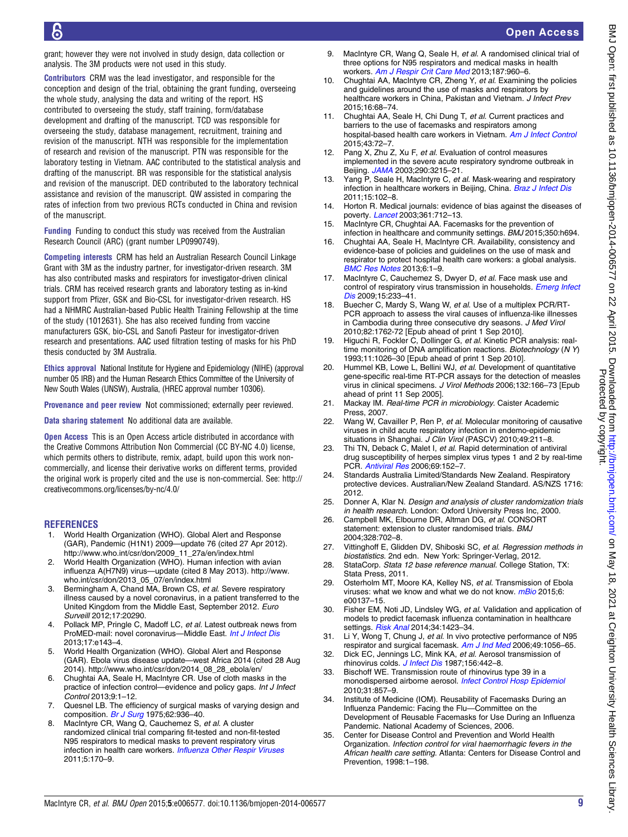<span id="page-8-0"></span>grant; however they were not involved in study design, data collection or analysis. The 3M products were not used in this study.

Contributors CRM was the lead investigator, and responsible for the conception and design of the trial, obtaining the grant funding, overseeing the whole study, analysing the data and writing of the report. HS contributed to overseeing the study, staff training, form/database development and drafting of the manuscript. TCD was responsible for overseeing the study, database management, recruitment, training and revision of the manuscript. NTH was responsible for the implementation of research and revision of the manuscript. PTN was responsible for the laboratory testing in Vietnam. AAC contributed to the statistical analysis and drafting of the manuscript. BR was responsible for the statistical analysis and revision of the manuscript. DED contributed to the laboratory technical assistance and revision of the manuscript. QW assisted in comparing the rates of infection from two previous RCTs conducted in China and revision of the manuscript.

Funding Funding to conduct this study was received from the Australian Research Council (ARC) (grant number LP0990749).

Competing interests CRM has held an Australian Research Council Linkage Grant with 3M as the industry partner, for investigator-driven research. 3M has also contributed masks and respirators for investigator-driven clinical trials. CRM has received research grants and laboratory testing as in-kind support from Pfizer, GSK and Bio-CSL for investigator-driven research. HS had a NHMRC Australian-based Public Health Training Fellowship at the time of the study (1012631). She has also received funding from vaccine manufacturers GSK, bio-CSL and Sanofi Pasteur for investigator-driven research and presentations. AAC used filtration testing of masks for his PhD thesis conducted by 3M Australia.

Ethics approval National Institute for Hygiene and Epidemiology (NIHE) (approval number 05 IRB) and the Human Research Ethics Committee of the University of New South Wales (UNSW), Australia, (HREC approval number 10306).

Provenance and peer review Not commissioned; externally peer reviewed.

Data sharing statement No additional data are available.

Open Access This is an Open Access article distributed in accordance with the Creative Commons Attribution Non Commercial (CC BY-NC 4.0) license, which permits others to distribute, remix, adapt, build upon this work noncommercially, and license their derivative works on different terms, provided the original work is properly cited and the use is non-commercial. See: [http://](http://creativecommons.org/licenses/by-nc/4.0/) [creativecommons.org/licenses/by-nc/4.0/](http://creativecommons.org/licenses/by-nc/4.0/)

#### **REFERENCES**

- World Health Organization (WHO). Global Alert and Response (GAR), Pandemic (H1N1) 2009—update 76 (cited 27 Apr 2012). [http://www.who.int/csr/don/2009\\_11\\_27a/en/index.html](http://www.who.int/csr/don/2009_11_27a/en/index.html)
- 2. World Health Organization (WHO). Human infection with avian influenza A(H7N9) virus—update (cited 8 May 2013). [http://www.](http://www.who.int/csr/don/2013_05_07/en/index.html) [who.int/csr/don/2013\\_05\\_07/en/index.html](http://www.who.int/csr/don/2013_05_07/en/index.html)
- 3. Bermingham A, Chand MA, Brown CS, et al. Severe respiratory illness caused by a novel coronavirus, in a patient transferred to the United Kingdom from the Middle East, September 2012. Euro Surveill 2012;17:20290.
- 4. Pollack MP, Pringle C, Madoff LC, et al. Latest outbreak news from ProMED-mail: novel coronavirus—Middle East. [Int J Infect Dis](http://dx.doi.org/10.1016/j.ijid.2012.12.001) 2013;17:e143–4.
- 5. World Health Organization (WHO). Global Alert and Response (GAR). Ebola virus disease update—west Africa 2014 (cited 28 Aug 2014). [http://www.who.int/csr/don/2014\\_08\\_28\\_ebola/en/](http://www.who.int/csr/don/2014_08_28_ebola/en/)
- 6. Chughtai AA, Seale H, MacIntyre CR. Use of cloth masks in the practice of infection control—evidence and policy gaps. Int J Infect Control 2013;9:1–12.
- 7. Quesnel LB. The efficiency of surgical masks of varying design and composition. [Br J Surg](http://dx.doi.org/10.1002/bjs.1800621203) 1975;62:936-40.
- 8. MacIntyre CR, Wang Q, Cauchemez S, et al. A cluster randomized clinical trial comparing fit-tested and non-fit-tested N95 respirators to medical masks to prevent respiratory virus infection in health care workers. [Influenza Other Respir Viruses](http://dx.doi.org/10.1111/j.1750-2659.2011.00198.x) 2011;5:170–9.
- 9. MacIntyre CR, Wang Q, Seale H, et al. A randomised clinical trial of three options for N95 respirators and medical masks in health workers. [Am J Respir Crit Care Med](http://dx.doi.org/10.1164/rccm.201207-1164OC) 2013;187:960–6.
- 10. Chughtai AA, MacIntyre CR, Zheng Y, et al. Examining the policies and guidelines around the use of masks and respirators by healthcare workers in China, Pakistan and Vietnam. J Infect Prev 2015;16:68–74.
- Chughtai AA, Seale H, Chi Dung T, et al. Current practices and barriers to the use of facemasks and respirators among hospital-based health care workers in Vietnam. [Am J Infect Control](http://dx.doi.org/10.1016/j.ajic.2014.10.009) 2015;43:72–7.
- 12. Pang X, Zhu Z, Xu F, et al. Evaluation of control measures implemented in the severe acute respiratory syndrome outbreak in Beijing. [JAMA](http://dx.doi.org/10.1001/jama.290.24.3215) 2003;290:3215–21.
- 13. Yang P, Seale H, MacIntyre C, et al. Mask-wearing and respiratory infection in healthcare workers in Beijing, China. [Braz J Infect Dis](http://dx.doi.org/10.1016/S1413-8670(11)70153-2) 2011;15:102–8.
- Horton R. Medical journals: evidence of bias against the diseases of poverty. *[Lancet](http://dx.doi.org/10.1016/S0140-6736(03)12665-7)* 2003;361:712-13.
- 15. MacIntyre CR, Chughtai AA. Facemasks for the prevention of infection in healthcare and community settings. BMJ 2015;350:h694.
- 16. Chughtai AA, Seale H, MacIntyre CR. Availability, consistency and evidence-base of policies and guidelines on the use of mask and respirator to protect hospital health care workers: a global analysis. [BMC Res Notes](http://dx.doi.org/10.1186/1756-0500-6-216) 2013;6:1–9.
- 17. MacIntyre C, Cauchemez S, Dwyer D, et al. Face mask use and control of respiratory virus transmission in households. [Emerg Infect](http://dx.doi.org/10.3201/eid1502.081166) [Dis](http://dx.doi.org/10.3201/eid1502.081166) 2009;15:233-41.
- 18. Buecher C, Mardy S, Wang W, et al. Use of a multiplex PCR/RT-PCR approach to assess the viral causes of influenza-like illnesses in Cambodia during three consecutive dry seasons. J Med Virol 2010;82:1762-72 [Epub ahead of print 1 Sep 2010].
- 19. Higuchi R, Fockler C, Dollinger G, et al. Kinetic PCR analysis: realtime monitoring of DNA amplification reactions. Biotechnology (N Y) 1993;11:1026–30 [Epub ahead of print 1 Sep 2010].
- 20. Hummel KB, Lowe L, Bellini WJ, et al. Development of quantitative gene-specific real-time RT-PCR assays for the detection of measles virus in clinical specimens. J Virol Methods 2006;132:166–73 [Epub ahead of print 11 Sep 2005].
- 21. Mackay IM. Real-time PCR in microbiology. Caister Academic Press, 2007.
- 22. Wang W, Cavailler P, Ren P, et al. Molecular monitoring of causative viruses in child acute respiratory infection in endemo-epidemic situations in Shanghai. J Clin Virol (PASCV) 2010;49:211-8.
- 23. Thi TN, Deback C, Malet I, et al. Rapid determination of antiviral drug susceptibility of herpes simplex virus types 1 and 2 by real-time PCR. [Antiviral Res](http://dx.doi.org/10.1016/j.antiviral.2005.11.004) 2006;69:152–7.
- 24. Standards Australia Limited/Standards New Zealand. Respiratory protective devices. Australian/New Zealand Standard. AS/NZS 1716: 2012.
- 25. Donner A, Klar N. Design and analysis of cluster randomization trials in health research. London: Oxford University Press Inc, 2000.
- 26. Campbell MK, Elbourne DR, Altman DG, et al. CONSORT statement: extension to cluster randomised trials. BMJ 2004;328:702–8.
- 27. Vittinghoff E, Glidden DV, Shiboski SC, et al. Regression methods in biostatistics. 2nd edn. New York: Springer-Verlag, 2012.
- 28. StataCorp. Stata 12 base reference manual. College Station, TX: Stata Press, 2011.
- 29. Osterholm MT, Moore KA, Kelley NS, et al. Transmission of Ebola viruses: what we know and what we do not know. [mBio](http://dx.doi.org/10.1128/mBio.00137-15) 2015;6: e00137–15.
- 30. Fisher EM, Noti JD, Lindsley WG, et al. Validation and application of models to predict facemask influenza contamination in healthcare settings. [Risk Anal](http://dx.doi.org/10.1111/risa.12185) 2014;34:1423–34.
- 31. Li Y, Wong T, Chung J, et al. In vivo protective performance of N95 respirator and surgical facemask. [Am J Ind Med](http://dx.doi.org/10.1002/ajim.20395) 2006;49:1056-65.
- 32. Dick EC, Jennings LC, Mink KA, et al. Aerosol transmission of rhinovirus colds. [J Infect Dis](http://dx.doi.org/10.1093/infdis/156.3.442) 1987;156:442-8.
- 33. Bischoff WE. Transmission route of rhinovirus type 39 in a monodispersed airborne aerosol. [Infect Control Hosp Epidemiol](http://dx.doi.org/10.1086/655022) 2010;31:857–9.
- 34. Institute of Medicine (IOM). Reusability of Facemasks During an Influenza Pandemic: Facing the Flu—Committee on the Development of Reusable Facemasks for Use During an Influenza Pandemic. National Academy of Sciences, 2006.
- 35. Center for Disease Control and Prevention and World Health Organization. Infection control for viral haemorrhagic fevers in the African health care setting. Atlanta: Centers for Disease Control and Prevention, 1998:1–198.